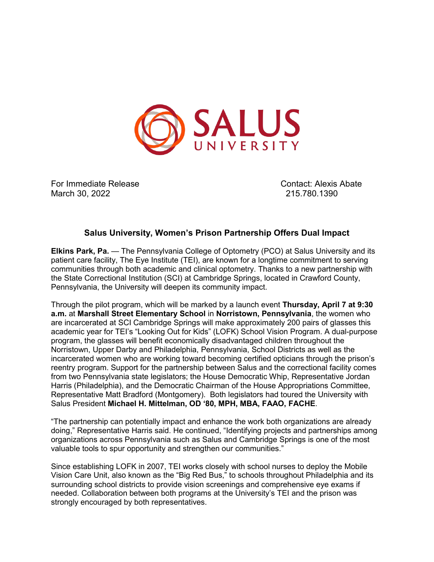

For Immediate Release Contact: Alexis Abate March 30, 2022 215.780.1390

## **Salus University, Women's Prison Partnership Offers Dual Impact**

**Elkins Park, Pa.** — The Pennsylvania College of Optometry (PCO) at Salus University and its patient care facility, The Eye Institute (TEI), are known for a longtime commitment to serving communities through both academic and clinical optometry. Thanks to a new partnership with the State Correctional Institution (SCI) at Cambridge Springs, located in Crawford County, Pennsylvania, the University will deepen its community impact.

Through the pilot program, which will be marked by a launch event **Thursday, April 7 at 9:30 a.m.** at **Marshall Street Elementary School** in **Norristown, Pennsylvania**, the women who are incarcerated at SCI Cambridge Springs will make approximately 200 pairs of glasses this academic year for TEI's "Looking Out for Kids" (LOFK) School Vision Program. A dual-purpose program, the glasses will benefit economically disadvantaged children throughout the Norristown, Upper Darby and Philadelphia, Pennsylvania, School Districts as well as the incarcerated women who are working toward becoming certified opticians through the prison's reentry program. Support for the partnership between Salus and the correctional facility comes from two Pennsylvania state legislators; the House Democratic Whip, Representative Jordan Harris (Philadelphia), and the Democratic Chairman of the House Appropriations Committee, Representative Matt Bradford (Montgomery). Both legislators had toured the University with Salus President **Michael H. Mittelman, OD '80, MPH, MBA, FAAO, FACHE**.

"The partnership can potentially impact and enhance the work both organizations are already doing," Representative Harris said. He continued, "Identifying projects and partnerships among organizations across Pennsylvania such as Salus and Cambridge Springs is one of the most valuable tools to spur opportunity and strengthen our communities."

Since establishing LOFK in 2007, TEI works closely with school nurses to deploy the Mobile Vision Care Unit, also known as the "Big Red Bus," to schools throughout Philadelphia and its surrounding school districts to provide vision screenings and comprehensive eye exams if needed. Collaboration between both programs at the University's TEI and the prison was strongly encouraged by both representatives.